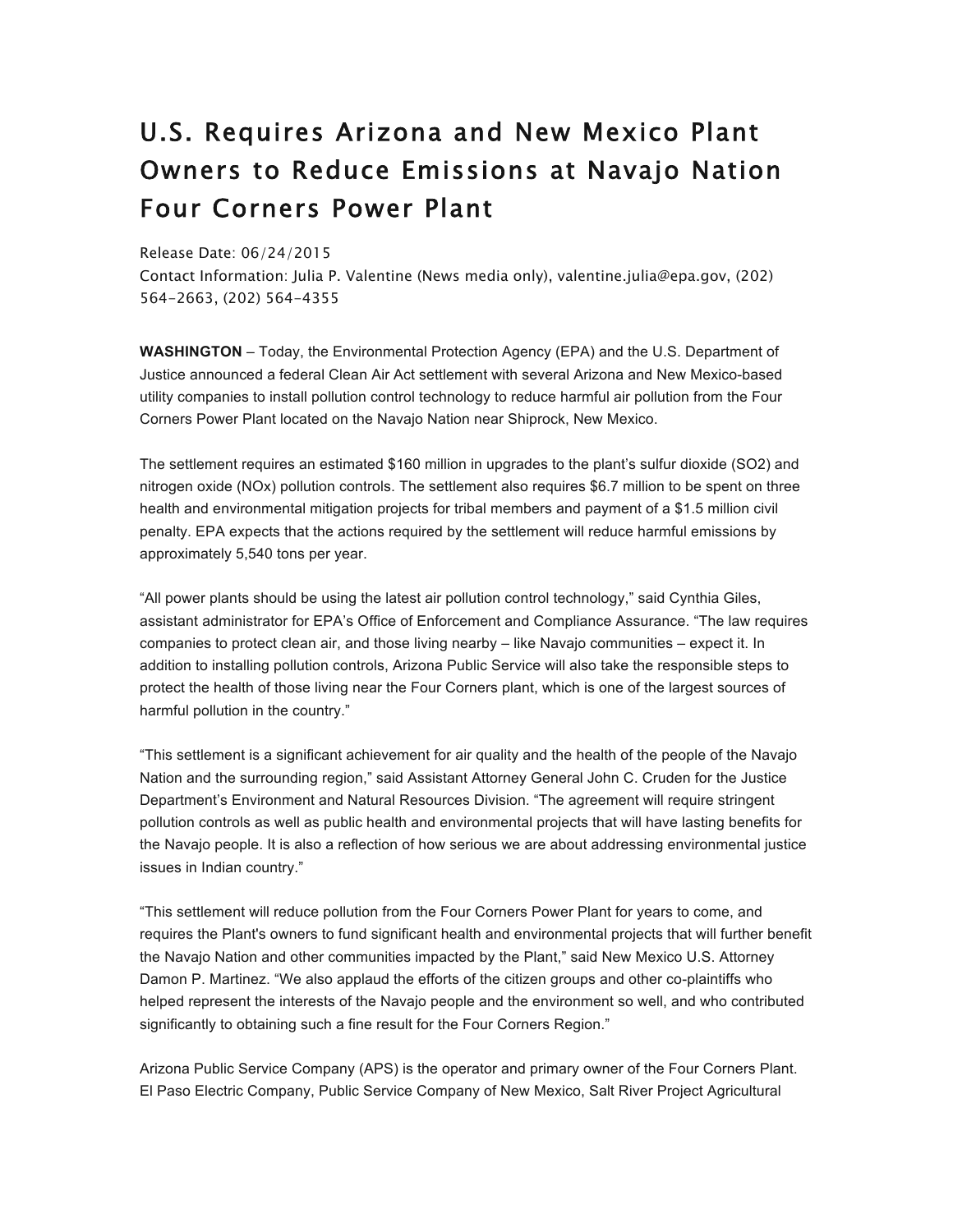## U.S. Requires Arizona and New Mexico Plant Owners to Reduce Emissions at Navajo Nation Four Corners Power Plant

## Release Date: 06/24/2015

Contact Information: Julia P. Valentine (News media only), valentine.julia@epa.gov, (202) 564-2663, (202) 564-4355

**WASHINGTON** – Today, the Environmental Protection Agency (EPA) and the U.S. Department of Justice announced a federal Clean Air Act settlement with several Arizona and New Mexico-based utility companies to install pollution control technology to reduce harmful air pollution from the Four Corners Power Plant located on the Navajo Nation near Shiprock, New Mexico.

The settlement requires an estimated \$160 million in upgrades to the plant's sulfur dioxide (SO2) and nitrogen oxide (NOx) pollution controls. The settlement also requires \$6.7 million to be spent on three health and environmental mitigation projects for tribal members and payment of a \$1.5 million civil penalty. EPA expects that the actions required by the settlement will reduce harmful emissions by approximately 5,540 tons per year.

"All power plants should be using the latest air pollution control technology," said Cynthia Giles, assistant administrator for EPA's Office of Enforcement and Compliance Assurance. "The law requires companies to protect clean air, and those living nearby – like Navajo communities – expect it. In addition to installing pollution controls, Arizona Public Service will also take the responsible steps to protect the health of those living near the Four Corners plant, which is one of the largest sources of harmful pollution in the country."

"This settlement is a significant achievement for air quality and the health of the people of the Navajo Nation and the surrounding region," said Assistant Attorney General John C. Cruden for the Justice Department's Environment and Natural Resources Division. "The agreement will require stringent pollution controls as well as public health and environmental projects that will have lasting benefits for the Navajo people. It is also a reflection of how serious we are about addressing environmental justice issues in Indian country."

"This settlement will reduce pollution from the Four Corners Power Plant for years to come, and requires the Plant's owners to fund significant health and environmental projects that will further benefit the Navajo Nation and other communities impacted by the Plant," said New Mexico U.S. Attorney Damon P. Martinez. "We also applaud the efforts of the citizen groups and other co-plaintiffs who helped represent the interests of the Navajo people and the environment so well, and who contributed significantly to obtaining such a fine result for the Four Corners Region."

Arizona Public Service Company (APS) is the operator and primary owner of the Four Corners Plant. El Paso Electric Company, Public Service Company of New Mexico, Salt River Project Agricultural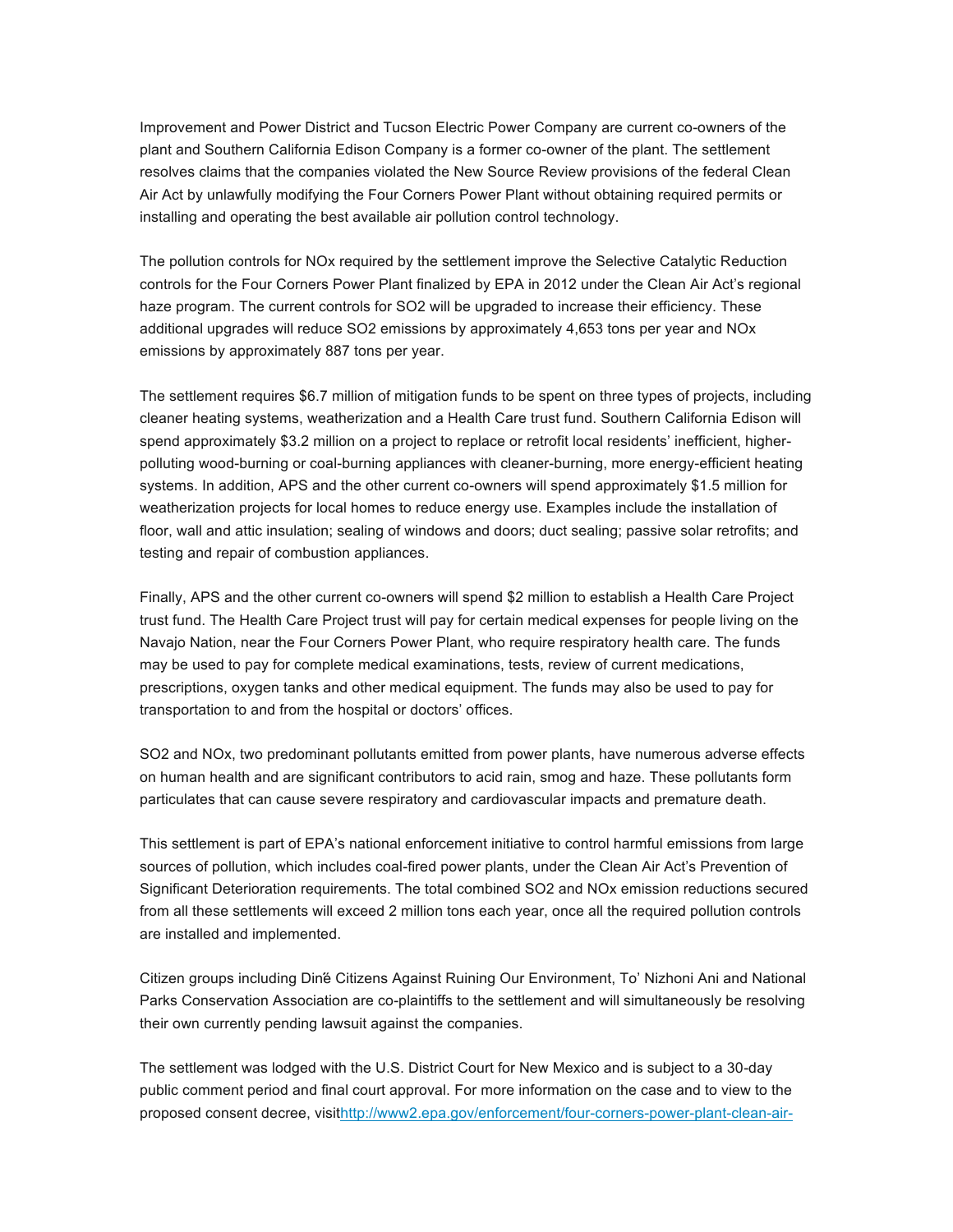Improvement and Power District and Tucson Electric Power Company are current co-owners of the plant and Southern California Edison Company is a former co-owner of the plant. The settlement resolves claims that the companies violated the New Source Review provisions of the federal Clean Air Act by unlawfully modifying the Four Corners Power Plant without obtaining required permits or installing and operating the best available air pollution control technology.

The pollution controls for NOx required by the settlement improve the Selective Catalytic Reduction controls for the Four Corners Power Plant finalized by EPA in 2012 under the Clean Air Act's regional haze program. The current controls for SO2 will be upgraded to increase their efficiency. These additional upgrades will reduce SO2 emissions by approximately 4,653 tons per year and NOx emissions by approximately 887 tons per year.

The settlement requires \$6.7 million of mitigation funds to be spent on three types of projects, including cleaner heating systems, weatherization and a Health Care trust fund. Southern California Edison will spend approximately \$3.2 million on a project to replace or retrofit local residents' inefficient, higherpolluting wood-burning or coal-burning appliances with cleaner-burning, more energy-efficient heating systems. In addition, APS and the other current co-owners will spend approximately \$1.5 million for weatherization projects for local homes to reduce energy use. Examples include the installation of floor, wall and attic insulation; sealing of windows and doors; duct sealing; passive solar retrofits; and testing and repair of combustion appliances.

Finally, APS and the other current co-owners will spend \$2 million to establish a Health Care Project trust fund. The Health Care Project trust will pay for certain medical expenses for people living on the Navajo Nation, near the Four Corners Power Plant, who require respiratory health care. The funds may be used to pay for complete medical examinations, tests, review of current medications, prescriptions, oxygen tanks and other medical equipment. The funds may also be used to pay for transportation to and from the hospital or doctors' offices.

SO2 and NOx, two predominant pollutants emitted from power plants, have numerous adverse effects on human health and are significant contributors to acid rain, smog and haze. These pollutants form particulates that can cause severe respiratory and cardiovascular impacts and premature death.

This settlement is part of EPA's national enforcement initiative to control harmful emissions from large sources of pollution, which includes coal-fired power plants, under the Clean Air Act's Prevention of Significant Deterioration requirements. The total combined SO2 and NOx emission reductions secured from all these settlements will exceed 2 million tons each year, once all the required pollution controls are installed and implemented.

Citizen groups including Dińé Citizens Against Ruining Our Environment, To' Nizhoni Ani and National Parks Conservation Association are co-plaintiffs to the settlement and will simultaneously be resolving their own currently pending lawsuit against the companies.

The settlement was lodged with the U.S. District Court for New Mexico and is subject to a 30-day public comment period and final court approval. For more information on the case and to view to the proposed consent decree, visithttp://www2.epa.gov/enforcement/four-corners-power-plant-clean-air